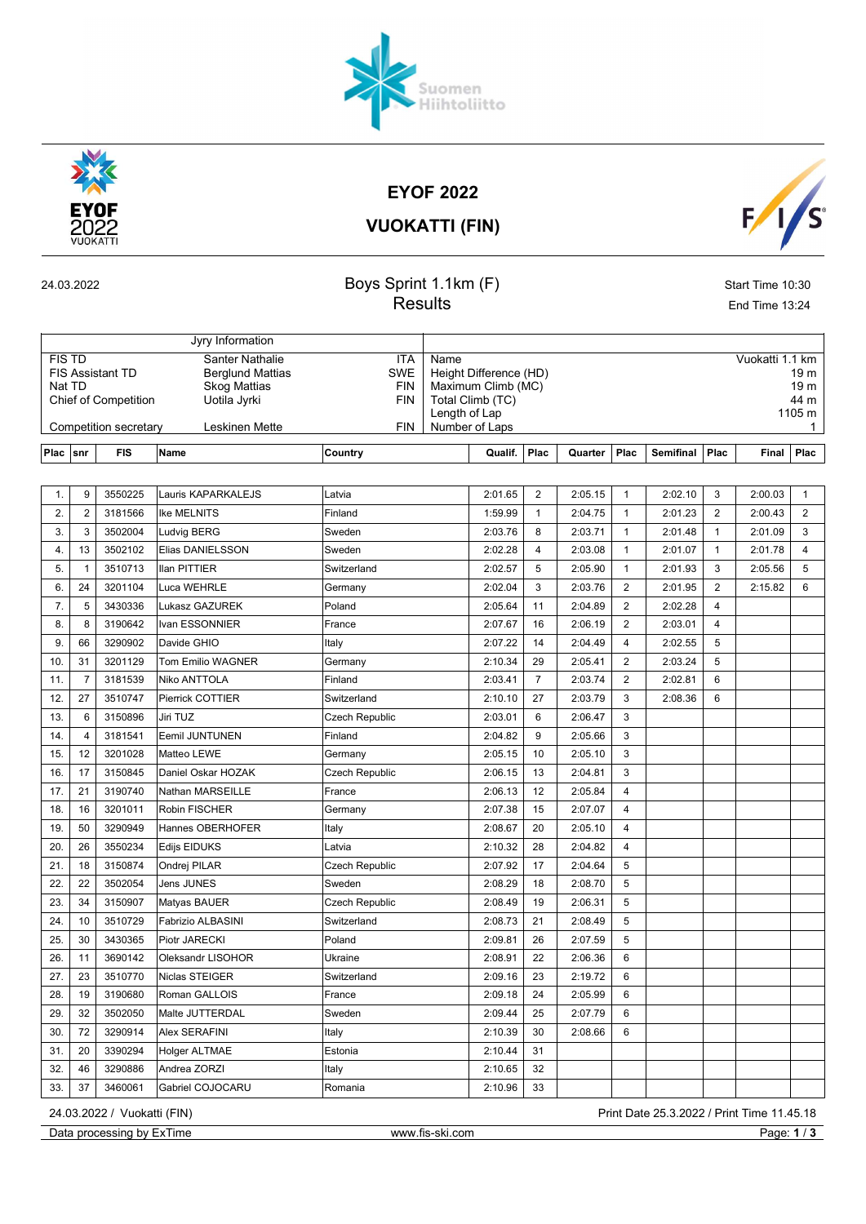### EYOF 2022

VUOKATTI (FIN)

| 24.03.2022 |  |
|------------|--|
|            |  |

Jyry Information

#### **24.03.2022 Boys Sprint 1.1km (F)** Start Time 10:30 Results End Time 13:24

| <b>FIS TD</b><br><b>Santer Nathalie</b><br><b>FIS Assistant TD</b><br><b>Berglund Mattias</b><br>Nat TD<br><b>Skog Mattias</b><br><b>Chief of Competition</b><br>Uotila Jyrki<br>Competition secretary<br>Leskinen Mette |                |            |                          | <b>ITA</b><br><b>SWE</b><br><b>FIN</b><br><b>FIN</b><br><b>FIN</b> | Name<br>Height Difference (HD)<br>Maximum Climb (MC)<br>Total Climb (TC)<br>Length of Lap<br>Number of Laps | Vuokatti 1.1 km<br>19 m<br>19 <sub>m</sub><br>44 m<br>1105 m<br>$\mathbf{1}$ |         |                |                  |                |              |                |
|--------------------------------------------------------------------------------------------------------------------------------------------------------------------------------------------------------------------------|----------------|------------|--------------------------|--------------------------------------------------------------------|-------------------------------------------------------------------------------------------------------------|------------------------------------------------------------------------------|---------|----------------|------------------|----------------|--------------|----------------|
| Plac                                                                                                                                                                                                                     | snr            | <b>FIS</b> | <b>Name</b>              | Country                                                            | Qualif.                                                                                                     | Plac                                                                         | Quarter | Plac           | <b>Semifinal</b> | Plac           | <b>Final</b> | Plac           |
|                                                                                                                                                                                                                          |                |            |                          |                                                                    |                                                                                                             |                                                                              |         |                |                  |                |              |                |
| $\mathbf{1}$ .                                                                                                                                                                                                           | 9              | 3550225    | Lauris KAPARKALEJS       | Latvia                                                             | 2:01.65                                                                                                     | $\overline{2}$                                                               | 2:05.15 | $\mathbf{1}$   | 2:02.10          | 3              | 2:00.03      | $\mathbf{1}$   |
| 2.                                                                                                                                                                                                                       | $\overline{2}$ | 3181566    | Ike MELNITS              | Finland                                                            | 1:59.99                                                                                                     | 1                                                                            | 2:04.75 | $\mathbf{1}$   | 2:01.23          | $\overline{2}$ | 2:00.43      | 2              |
| 3.                                                                                                                                                                                                                       | 3              | 3502004    | Ludvig BERG              | Sweden                                                             | 2:03.76                                                                                                     | 8                                                                            | 2:03.71 | $\mathbf{1}$   | 2:01.48          | $\mathbf{1}$   | 2:01.09      | 3              |
| 4.                                                                                                                                                                                                                       | 13             | 3502102    | Elias DANIELSSON         | Sweden                                                             | 2:02.28                                                                                                     | 4                                                                            | 2:03.08 | $\mathbf{1}$   | 2:01.07          | $\mathbf{1}$   | 2:01.78      | $\overline{4}$ |
| 5.                                                                                                                                                                                                                       | $\mathbf{1}$   | 3510713    | <b>Ilan PITTIER</b>      | Switzerland                                                        | 2:02.57                                                                                                     | 5                                                                            | 2:05.90 | $\mathbf{1}$   | 2:01.93          | 3              | 2:05.56      | 5              |
| 6.                                                                                                                                                                                                                       | 24             | 3201104    | Luca WEHRLE              | Germany                                                            | 2:02.04                                                                                                     | 3                                                                            | 2:03.76 | $\overline{2}$ | 2:01.95          | $\overline{2}$ | 2:15.82      | 6              |
| 7.                                                                                                                                                                                                                       | 5              | 3430336    | Lukasz GAZUREK           | Poland                                                             | 2:05.64                                                                                                     | 11                                                                           | 2:04.89 | 2              | 2:02.28          | $\overline{4}$ |              |                |
| 8.                                                                                                                                                                                                                       | 8              | 3190642    | Ivan ESSONNIER           | France                                                             | 2:07.67                                                                                                     | 16                                                                           | 2:06.19 | $\overline{2}$ | 2:03.01          | $\overline{4}$ |              |                |
| 9.                                                                                                                                                                                                                       | 66             | 3290902    | Davide GHIO              | Italy                                                              | 2:07.22                                                                                                     | 14                                                                           | 2:04.49 | 4              | 2:02.55          | 5              |              |                |
| 10.                                                                                                                                                                                                                      | 31             | 3201129    | <b>Tom Emilio WAGNER</b> | Germany                                                            | 2:10.34                                                                                                     | 29                                                                           | 2:05.41 | 2              | 2:03.24          | 5              |              |                |
| 11.                                                                                                                                                                                                                      | $\overline{7}$ | 3181539    | Niko ANTTOLA             | Finland                                                            | 2:03.41                                                                                                     | $\overline{7}$                                                               | 2:03.74 | $\overline{2}$ | 2:02.81          | 6              |              |                |
| 12.                                                                                                                                                                                                                      | 27             | 3510747    | Pierrick COTTIER         | Switzerland                                                        | 2:10.10                                                                                                     | 27                                                                           | 2:03.79 | 3              | 2:08.36          | 6              |              |                |
| 13.                                                                                                                                                                                                                      | 6              | 3150896    | Jiri TUZ                 | Czech Republic                                                     | 2:03.01                                                                                                     | 6                                                                            | 2:06.47 | 3              |                  |                |              |                |
| 14.                                                                                                                                                                                                                      | 4              | 3181541    | Eemil JUNTUNEN           | Finland                                                            | 2:04.82                                                                                                     | 9                                                                            | 2:05.66 | 3              |                  |                |              |                |
| 15.                                                                                                                                                                                                                      | 12             | 3201028    | Matteo LEWE              | Germany                                                            | 2:05.15                                                                                                     | 10                                                                           | 2:05.10 | 3              |                  |                |              |                |
| 16.                                                                                                                                                                                                                      | 17             | 3150845    | Daniel Oskar HOZAK       | Czech Republic                                                     | 2:06.15                                                                                                     | 13                                                                           | 2:04.81 | 3              |                  |                |              |                |
| 17.                                                                                                                                                                                                                      | 21             | 3190740    | Nathan MARSEILLE         | France                                                             | 2:06.13                                                                                                     | 12                                                                           | 2:05.84 | 4              |                  |                |              |                |
| 18.                                                                                                                                                                                                                      | 16             | 3201011    | Robin FISCHER            | Germany                                                            | 2:07.38                                                                                                     | 15                                                                           | 2:07.07 | $\overline{4}$ |                  |                |              |                |
| 19.                                                                                                                                                                                                                      | 50             | 3290949    | Hannes OBERHOFER         | Italy                                                              | 2:08.67                                                                                                     | 20                                                                           | 2:05.10 | 4              |                  |                |              |                |
| 20.                                                                                                                                                                                                                      | 26             | 3550234    | Edijs EIDUKS             | Latvia                                                             | 2:10.32                                                                                                     | 28                                                                           | 2:04.82 | $\overline{4}$ |                  |                |              |                |
| 21.                                                                                                                                                                                                                      | 18             | 3150874    | Ondrej PILAR             | <b>Czech Republic</b>                                              | 2:07.92                                                                                                     | 17                                                                           | 2:04.64 | 5              |                  |                |              |                |
| 22.                                                                                                                                                                                                                      | 22             | 3502054    | Jens JUNES               | Sweden                                                             | 2:08.29                                                                                                     | 18                                                                           | 2:08.70 | 5              |                  |                |              |                |
| 23.                                                                                                                                                                                                                      | 34             | 3150907    | Matyas BAUER             | Czech Republic                                                     | 2:08.49                                                                                                     | 19                                                                           | 2:06.31 | 5              |                  |                |              |                |
| 24.                                                                                                                                                                                                                      | 10             | 3510729    | Fabrizio ALBASINI        | Switzerland                                                        | 2:08.73                                                                                                     | 21                                                                           | 2:08.49 | 5              |                  |                |              |                |
| 25.                                                                                                                                                                                                                      | 30             | 3430365    | Piotr JARECKI            | Poland                                                             | 2:09.81                                                                                                     | 26                                                                           | 2:07.59 | 5              |                  |                |              |                |



26. | 11 | 3690142 | Oleksandr LISOHOR | Ukraine | 2:08.91 | 22 | 2:06.36 | 6 27. 23 3510770 Niclas STEIGER Switzerland 2:09.16 23 2:19.72 6 28. 19 3190680 Roman GALLOIS France 2:09.18 24 2:05.99 6 29. 32 3502050 Malte JUTTERDAL Sweden 2:09.44 25 2:07.79 6 30. 72 3290914 Alex SERAFINI Italy Italy 2:10.39 30 2:08.66 6

31. 20 3390294 Holger ALTMAE Estonia 2:10.44 31 32. 46 3290886 Andrea ZORZI Italy Italy 2:10.65 32 33. 37 3460061 Gabriel COJOCARU Romania 2:10.96 33

Data processing by ExTime www.fis-ski.com Page: 1/3



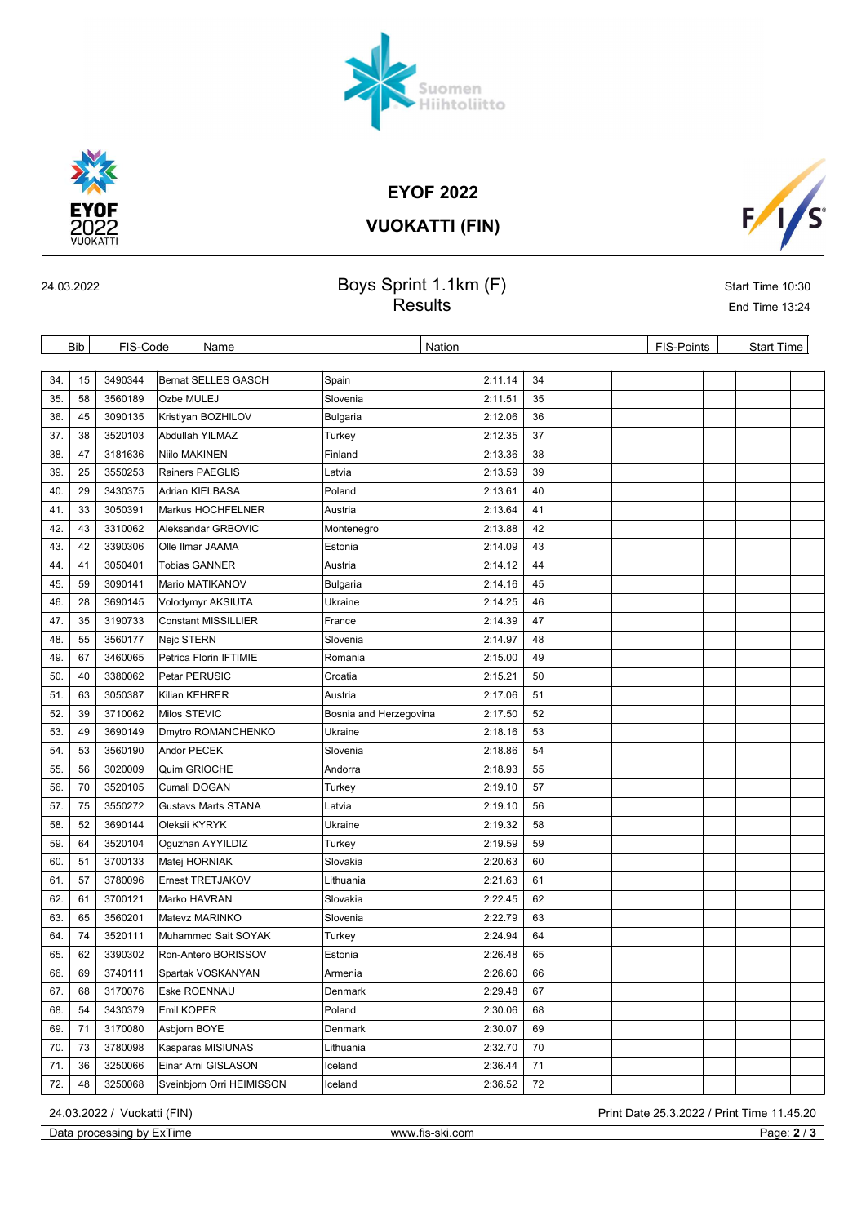# EYOF 2022

# Suomen<br>Hiihtoliitto



VUOKATTI (FIN)



## 24.03.2022 Sprint 1.1km  $(F)$  Superint 1.1km  $(F)$  Start Time 10:30 Results **End Time 13:24**

|     | <b>Bib</b><br>FIS-Code<br>Name |         |               |                            | Nation                 | FIS-Points | <b>Start Time</b> |  |  |  |  |
|-----|--------------------------------|---------|---------------|----------------------------|------------------------|------------|-------------------|--|--|--|--|
|     |                                |         |               |                            |                        |            |                   |  |  |  |  |
| 34. | 15                             | 3490344 |               | <b>Bernat SELLES GASCH</b> | Spain                  | 2:11.14    | 34                |  |  |  |  |
| 35. | 58                             | 3560189 | Ozbe MULEJ    |                            | Slovenia               | 2:11.51    | 35                |  |  |  |  |
| 36. | 45                             | 3090135 |               | Kristiyan BOZHILOV         | Bulgaria               | 2:12.06    | 36                |  |  |  |  |
| 37. | 38                             | 3520103 |               | Abdullah YILMAZ            | Turkey                 | 2:12.35    | 37                |  |  |  |  |
| 38. | 47                             | 3181636 | Niilo MAKINEN |                            | Finland                | 2:13.36    | 38                |  |  |  |  |
| 39. | 25                             | 3550253 |               | Rainers PAEGLIS            | Latvia                 | 2:13.59    | 39                |  |  |  |  |
| 40. | 29                             | 3430375 |               | Adrian KIELBASA            | Poland                 | 2:13.61    | 40                |  |  |  |  |
| 41. | 33                             | 3050391 |               | Markus HOCHFELNER          | Austria                | 2:13.64    | 41                |  |  |  |  |
| 42. | 43                             | 3310062 |               | Aleksandar GRBOVIC         | Montenegro             | 2:13.88    | 42                |  |  |  |  |
| 43. | 42                             | 3390306 |               | Olle Ilmar JAAMA           | Estonia                | 2:14.09    | 43                |  |  |  |  |
| 44. | 41                             | 3050401 |               | <b>Tobias GANNER</b>       | Austria                | 2:14.12    | 44                |  |  |  |  |
| 45. | 59                             | 3090141 |               | Mario MATIKANOV            | Bulgaria               | 2:14.16    | 45                |  |  |  |  |
| 46. | 28                             | 3690145 |               | Volodymyr AKSIUTA          | Ukraine                | 2:14.25    | 46                |  |  |  |  |
| 47. | 35                             | 3190733 |               | <b>Constant MISSILLIER</b> | France                 | 2:14.39    | 47                |  |  |  |  |
| 48. | 55                             | 3560177 | Nejc STERN    |                            | Slovenia               | 2:14.97    | 48                |  |  |  |  |
| 49. | 67                             | 3460065 |               | Petrica Florin IFTIMIE     | Romania                | 2:15.00    | 49                |  |  |  |  |
| 50. | 40                             | 3380062 | Petar PERUSIC |                            | Croatia                | 2:15.21    | 50                |  |  |  |  |
| 51. | 63                             | 3050387 | Kilian KEHRER |                            | Austria                | 2:17.06    | 51                |  |  |  |  |
| 52. | 39                             | 3710062 | Milos STEVIC  |                            | Bosnia and Herzegovina | 2:17.50    | 52                |  |  |  |  |
| 53. | 49                             | 3690149 |               | Dmytro ROMANCHENKO         | Ukraine                | 2:18.16    | 53                |  |  |  |  |
| 54. | 53                             | 3560190 | Andor PECEK   |                            | Slovenia               | 2:18.86    | 54                |  |  |  |  |
| 55. | 56                             | 3020009 | Quim GRIOCHE  |                            | Andorra                | 2:18.93    | 55                |  |  |  |  |
| 56. | 70                             | 3520105 | Cumali DOGAN  |                            | Turkey                 | 2:19.10    | 57                |  |  |  |  |
| 57. | 75                             | 3550272 |               | <b>Gustavs Marts STANA</b> | Latvia                 | 2:19.10    | 56                |  |  |  |  |
| 58. | 52                             | 3690144 | Oleksii KYRYK |                            | Ukraine                | 2:19.32    | 58                |  |  |  |  |
| 59. | 64                             | 3520104 |               | Oguzhan AYYILDIZ           | Turkey                 | 2:19.59    | 59                |  |  |  |  |
| 60. | 51                             | 3700133 | Matej HORNIAK |                            | Slovakia               | 2:20.63    | 60                |  |  |  |  |
| 61. | 57                             | 3780096 |               | Ernest TRETJAKOV           | Lithuania              | 2:21.63    | 61                |  |  |  |  |
| 62. | 61                             | 3700121 | Marko HAVRAN  |                            | Slovakia               | 2:22.45    | 62                |  |  |  |  |
| 63. | 65                             | 3560201 |               | Matevz MARINKO             | Slovenia               | 2:22.79    | 63                |  |  |  |  |
| 64. | 74                             | 3520111 |               | Muhammed Sait SOYAK        | Turkey                 | 2:24.94    | 64                |  |  |  |  |
| 65. | 62                             | 3390302 |               | Ron-Antero BORISSOV        | Estonia                | 2:26.48    | 65                |  |  |  |  |
| 66. | 69                             | 3740111 |               | Spartak VOSKANYAN          | Armenia                | 2:26.60    | 66                |  |  |  |  |
| 67. | 68                             | 3170076 | Eske ROENNAU  |                            | Denmark                | 2:29.48    | 67                |  |  |  |  |
| 68. | 54                             | 3430379 | Emil KOPER    |                            | Poland                 | 2:30.06    | 68                |  |  |  |  |
| 69. | 71                             | 3170080 | Asbjorn BOYE  |                            | Denmark                | 2:30.07    | 69                |  |  |  |  |
| 70. | 73                             | 3780098 |               | Kasparas MISIUNAS          | Lithuania              | 2:32.70    | 70                |  |  |  |  |
| 71. | 36                             | 3250066 |               | Einar Arni GISLASON        | Iceland                | 2:36.44    | 71                |  |  |  |  |
| 72. | 48                             | 3250068 |               | Sveinbjorn Orri HEIMISSON  | Iceland                | 2:36.52    | 72                |  |  |  |  |

Data processing by ExTime www.fis-ski.com Page: 2 / 3

24.03.2022 / Vuokatti (FIN) Print Date 25.3.2022 / Print Time 11.45.20